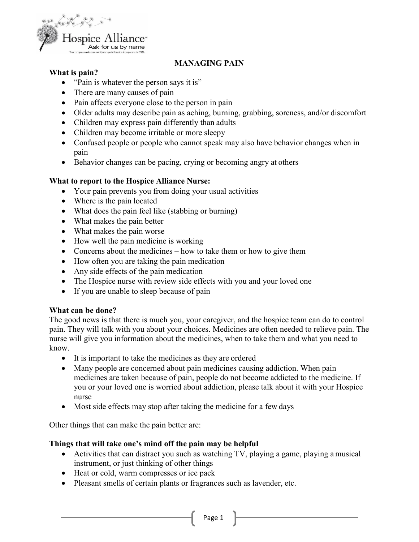

## **MANAGING PAIN**

### **What is pain?**

- "Pain is whatever the person says it is"
- There are many causes of pain
- Pain affects everyone close to the person in pain
- Older adults may describe pain as aching, burning, grabbing, soreness, and/or discomfort
- Children may express pain differently than adults
- Children may become irritable or more sleepy
- Confused people or people who cannot speak may also have behavior changes when in pain
- Behavior changes can be pacing, crying or becoming angry at others

### **What to report to the Hospice Alliance Nurse:**

- Your pain prevents you from doing your usual activities
- Where is the pain located
- What does the pain feel like (stabbing or burning)
- What makes the pain better
- What makes the pain worse
- How well the pain medicine is working
- Concerns about the medicines how to take them or how to give them
- How often you are taking the pain medication
- Any side effects of the pain medication
- The Hospice nurse with review side effects with you and your loved one
- If you are unable to sleep because of pain

#### **What can be done?**

The good news is that there is much you, your caregiver, and the hospice team can do to control pain. They will talk with you about your choices. Medicines are often needed to relieve pain. The nurse will give you information about the medicines, when to take them and what you need to know.

- It is important to take the medicines as they are ordered
- Many people are concerned about pain medicines causing addiction. When pain medicines are taken because of pain, people do not become addicted to the medicine. If you or your loved one is worried about addiction, please talk about it with your Hospice nurse
- Most side effects may stop after taking the medicine for a few days

Other things that can make the pain better are:

## **Things that will take one's mind off the pain may be helpful**

- Activities that can distract you such as watching TV, playing a game, playing a musical instrument, or just thinking of other things
- Heat or cold, warm compresses or ice pack
- Pleasant smells of certain plants or fragrances such as lavender, etc.